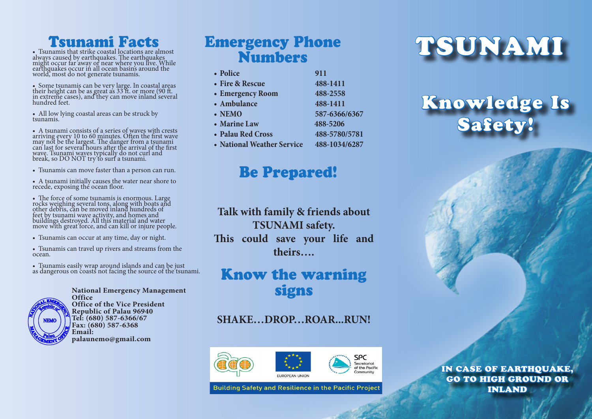# Tsunami Facts

• Tsunamis that strike coastal locations are almost always caused by earthquakes. The earthquakes<br>might occur far away or near where you live. While earthquakes occur in all ocean basins around the world, most do not generate tsunamis.

• Some tsunamis can be very large. In coastal areas their height can be as great as 33 ft. or more (90 ft. in extreme cases), and they can move inland several hundred feet.

• All low lying coastal areas can be struck by tsunamis.

• A tsunami consists of a series of waves with crests arriving every 10 to 60 minutes. Often the first wave may not be the largest. The danger from a tsunami can last for several hours after the arrival of the first wave. Tsunami waves typically do not curl and break, so DO NOT try to surf a tsunami.

• Tsunamis can move faster than a person can run.

• A tsunami initially causes the water near shore to recede, exposing the ocean floor.

• The force of some tsunamis is enormous. Large rocks weighing several tons, along with boats and other debris, can be moved inland hundreds of feet by tsunami wave activity, and homes and buildings destroyed. All this material and water move with great force, and can kill or injure people.

• Tsunamis can occur at any time, day or night.

• Tsunamis can travel up rivers and streams from the ocean.

• Tsunamis easily wrap around islands and can be just as dangerous on coasts not facing the source of the tsunami.



**National Emergency Management Office Office of the Vice President Republic of Palau 96940 Tel: (680) 587-6366/67 Fax: (680) 587-6368 Email: palaunemo@gmail.com**

# Emergency Phone Numbers

- Police **911 • Fire & Rescue 488-1411** • **Emergency Room** 488-2558 • Ambulance **488-1411** • NEMO **587-6366/6367 • Marine Law 488-5206**
- **• Palau Red Cross 488-5780/5781**
- **• National Weather Service 488-1034/6287**

## Be Prepared!

**Talk with family & friends about TSUNAMI safety. This could save your life and theirs….**

# Know the warning signs

**SHAKE…DROP…ROAR...RUN!**



**Building Safety and Resilience in the Pacific Project** 

# TSUNAMI

# Knowledge Is Safety!